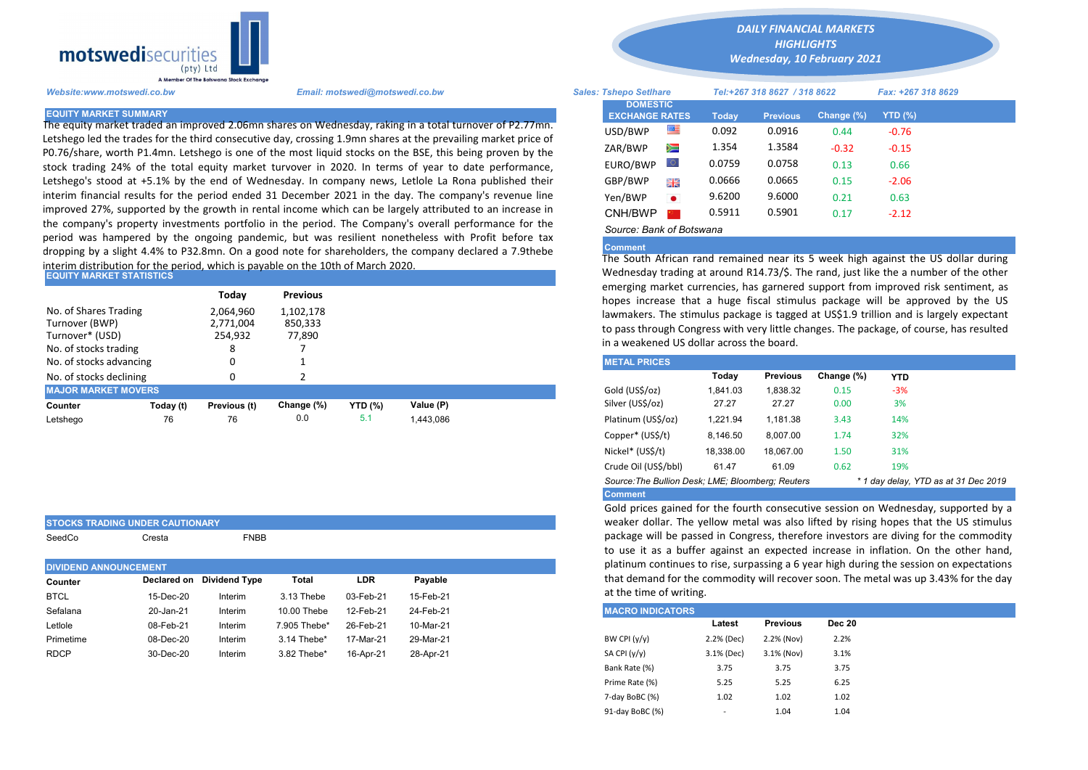

Letshego led the trades for the third consecutive day, crossing 1.9mn shares at the prevailing market price of P0.76/share, worth P1.4mn. Letshego is one of the most liquid stocks on the BSE, this being proven by the stock trading 24% of the total equity market turvover in 2020. In terms of year to date performance, Letshego's stood at +5.1% by the end of Wednesday. In company news, Letlole La Rona published their interim financial results for the period ended 31 December 2021 in the day. The company's revenue line improved 27%, supported by the growth in rental income which can be largely attributed to an increase in the company's property investments portfolio in the period. The Company's overall performance for the period was hampered by the ongoing pandemic, but was resilient nonetheless with Profit before tax dropping by a slight 4.4% to P32.8mn. On a good note for shareholders, the company declared a 7.9thebe interim distribution for the period, which is payable on the 10th of March 2020.

| <b>EQUITY MARKET STATISTICS</b> |  |  |  |  |
|---------------------------------|--|--|--|--|
|                                 |  |  |  |  |

STOCKS TRADING UNDER CAUTIONARY

SeedCo Cresta **FNBB** 

|                                                                                     |           | Today                                  | <b>Previous</b>                |                |           | emerging market currencies, has garnered support from improved ri                                                                                                                                                                                                  |          |                 |            |            |  |
|-------------------------------------------------------------------------------------|-----------|----------------------------------------|--------------------------------|----------------|-----------|--------------------------------------------------------------------------------------------------------------------------------------------------------------------------------------------------------------------------------------------------------------------|----------|-----------------|------------|------------|--|
| No. of Shares Trading<br>Turnover (BWP)<br>Turnover* (USD)<br>No. of stocks trading |           | 2,064,960<br>2,771,004<br>254,932<br>8 | 1,102,178<br>850,333<br>77.890 |                |           | hopes increase that a huge fiscal stimulus package will be appro<br>lawmakers. The stimulus package is tagged at US\$1.9 trillion and is la<br>to pass through Congress with very little changes. The package, of cou<br>in a weakened US dollar across the board. |          |                 |            |            |  |
| No. of stocks advancing                                                             |           | 0                                      |                                |                |           | <b>METAL PRICES</b>                                                                                                                                                                                                                                                |          |                 |            |            |  |
| No. of stocks declining                                                             |           |                                        |                                |                |           |                                                                                                                                                                                                                                                                    | Today    | <b>Previous</b> | Change (%) | <b>YTD</b> |  |
| <b>MAJOR MARKET MOVERS</b>                                                          |           |                                        |                                |                |           | Gold (US\$/oz)                                                                                                                                                                                                                                                     | 1.841.03 | 1.838.32        | 0.15       | $-3%$      |  |
| Counter                                                                             | Today (t) | Previous (t)                           | Change (%)                     | <b>YTD</b> (%) | Value (P) | Silver (US\$/oz)                                                                                                                                                                                                                                                   | 27.27    | 27.27           | 0.00       | 3%         |  |
| Letshego                                                                            | 76        | 76                                     | 0.0                            | 5.1            | 1,443,086 | Platinum (US\$/oz)                                                                                                                                                                                                                                                 | 1.221.94 | 1.181.38        | 3.43       | 14%        |  |
|                                                                                     |           |                                        |                                |                |           |                                                                                                                                                                                                                                                                    |          |                 |            |            |  |

| to use it as a builet against an expected increase<br>platinum continues to rise, surpassing a 6 year high do<br><b>DIVIDEND ANNOUNCEMENT</b> |
|-----------------------------------------------------------------------------------------------------------------------------------------------|
| that demand for the commodity will recover soon. The<br>Declared on Dividend Type<br>LDR<br>Total<br>Pavable<br>Counter                       |
| at the time of writing.<br><b>BTCL</b><br>15-Feb-21<br>3.13 Thebe<br>03-Feb-21<br>15-Dec-20<br>Interim                                        |
| <b>MACRO INDICATORS</b><br>Sefalana<br>24-Feb-21<br>12-Feb-21<br>Interim<br>10.00 Thebe<br>20-Jan-21                                          |
| Letlole<br>10-Mar-21<br>08-Feb-21<br>Interim<br>7.905 Thebe*<br>26-Feb-21                                                                     |
| BW CPI $(y/y)$<br>Primetime<br>08-Dec-20<br>17-Mar-21<br>29-Mar-21<br>Interim<br>3.14 Thebe*                                                  |
| SA CPI (y/y)<br><b>RDCP</b><br>30-Dec-20<br>3.82 Thebe*<br>28-Apr-21<br>Interim<br>16-Apr-21                                                  |

*DAILY FINANCIAL MARKETS HIGHLIGHTS*

*Wednesday, 10 February 2021* 

| A Member Of the Borswand Stock Exchange |                                                                                                                                                                                                                           |                               |                                          |           |                              |                 |            |                    |  |
|-----------------------------------------|---------------------------------------------------------------------------------------------------------------------------------------------------------------------------------------------------------------------------|-------------------------------|------------------------------------------|-----------|------------------------------|-----------------|------------|--------------------|--|
| Website:www.motswedi.co.bw              | Email: motswedi@motswedi.co.bw                                                                                                                                                                                            | <b>Sales: Tshepo Setlhare</b> |                                          |           | Tel:+267 318 8627 / 318 8622 |                 |            | Fax: +267 318 8629 |  |
| <b>EQUITY MARKET SUMMARY</b>            |                                                                                                                                                                                                                           |                               | <b>DOMESTIC</b><br><b>EXCHANGE RATES</b> |           | <b>Today</b>                 | <b>Previous</b> | Change (%) | YTD (%)            |  |
|                                         | The equity market traded an improved 2.06mn shares on Wednesday, raking in a total turnover of P2.77mn.<br>Letshego led the trades for the third consecutive day, crossing 1.9mn shares at the prevailing market price of |                               | USD/BWP                                  | 罕         | 0.092                        | 0.0916          | 0.44       | $-0.76$            |  |
|                                         | P0.76/share, worth P1.4mn. Letshego is one of the most liquid stocks on the BSE, this being proven by the                                                                                                                 |                               | ZAR/BWP                                  | Ň         | 1.354                        | 1.3584          | $-0.32$    | $-0.15$            |  |
|                                         | stock trading 24% of the total equity market turvover in 2020. In terms of year to date performance,                                                                                                                      |                               | EURO/BWP                                 |           | 0.0759                       | 0.0758          | 0.13       | 0.66               |  |
|                                         | Letshego's stood at +5.1% by the end of Wednesday. In company news, Letlole La Rona published their                                                                                                                       |                               | GBP/BWP                                  | 哥馬        | 0.0666                       | 0.0665          | 0.15       | $-2.06$            |  |
|                                         | interim financial results for the period ended 31 December 2021 in the day. The company's revenue line                                                                                                                    |                               | Yen/BWP                                  | $\bullet$ | 9.6200                       | 9.6000          | 0.21       | 0.63               |  |
|                                         | improved 27%, supported by the growth in rental income which can be largely attributed to an increase in                                                                                                                  |                               | CNH/BWP                                  |           | 0.5911                       | 0.5901          | 0.17       | $-2.12$            |  |
|                                         | the company's property investments portfolio in the period. The Company's overall performance for the                                                                                                                     |                               | Source: Bank of Botswana                 |           |                              |                 |            |                    |  |

## Comment

The South African rand remained near its 5 week high against the US dollar during Wednesday trading at around R14.73/\$. The rand, just like the a number of the other emerging market currencies, has garnered support from improved risk sentiment, as hopes increase that a huge fiscal stimulus package will be approved by the US lawmakers. The stimulus package is tagged at US\$1.9 trillion and is largely expectant to pass through Congress with very little changes. The package, of course, has resulted in a weakened US dollar across the board.

| <b>METAL PRICES</b>                               |           |                 |            |                                      |  |  |
|---------------------------------------------------|-----------|-----------------|------------|--------------------------------------|--|--|
|                                                   | Today     | <b>Previous</b> | Change (%) | <b>YTD</b>                           |  |  |
| Gold (US\$/oz)                                    | 1.841.03  | 1.838.32        | 0.15       | $-3%$                                |  |  |
| Silver (US\$/oz)                                  | 27.27     | 27.27           | 0.00       | 3%                                   |  |  |
| Platinum (US\$/oz)                                | 1.221.94  | 1.181.38        | 3.43       | 14%                                  |  |  |
| Copper* (US\$/t)                                  | 8.146.50  | 8.007.00        | 1.74       | 32%                                  |  |  |
| Nickel* (US\$/t)                                  | 18,338.00 | 18.067.00       | 1.50       | 31%                                  |  |  |
| Crude Oil (US\$/bbl)                              | 61.47     | 61.09           | 0.62       | 19%                                  |  |  |
| Source: The Bullion Desk: LME: Bloomberg: Reuters |           |                 |            | * 1 day delay, YTD as at 31 Dec 2019 |  |  |
| <b>Comment</b>                                    |           |                 |            |                                      |  |  |

Gold prices gained for the fourth consecutive session on Wednesday, supported by a weaker dollar. The yellow metal was also lifted by rising hopes that the US stimulus package will be passed in Congress, therefore investors are diving for the commodity to use it as a buffer against an expected increase in inflation. On the other hand, platinum continues to rise, surpassing a 6 year high during the session on expectations that demand for the commodity will recover soon. The metal was up 3.43% for the day at the time of writing.

| <b>MACRO INDICATORS</b> |                          |                 |               |
|-------------------------|--------------------------|-----------------|---------------|
|                         | Latest                   | <b>Previous</b> | <b>Dec 20</b> |
| BW CPI $(y/y)$          | 2.2% (Dec)               | 2.2% (Nov)      | 2.2%          |
| SA CPI (y/y)            | 3.1% (Dec)               | 3.1% (Nov)      | 3.1%          |
| Bank Rate (%)           | 3.75                     | 3.75            | 3.75          |
| Prime Rate (%)          | 5.25                     | 5.25            | 6.25          |
| 7-day BoBC (%)          | 1.02                     | 1.02            | 1.02          |
| 91-day BoBC (%)         | $\overline{\phantom{a}}$ | 1.04            | 1.04          |